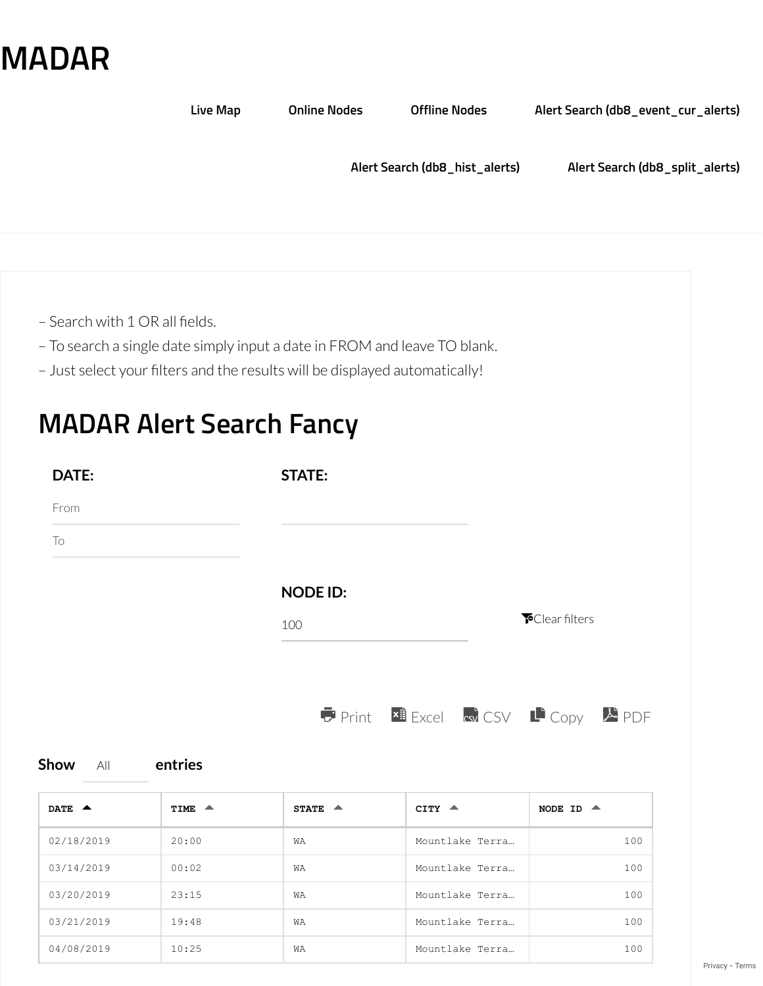## **[MADAR](https://www.madarproject.com/)**

|                                | <b>Live Map</b>                                                                                                                                          | <b>Online Nodes</b> | <b>Offline Nodes</b>           | Alert Search (db8_event_cur_alerts) |
|--------------------------------|----------------------------------------------------------------------------------------------------------------------------------------------------------|---------------------|--------------------------------|-------------------------------------|
|                                |                                                                                                                                                          |                     | Alert Search (db8_hist_alerts) | Alert Search (db8_split_alerts)     |
|                                |                                                                                                                                                          |                     |                                |                                     |
|                                |                                                                                                                                                          |                     |                                |                                     |
| - Search with 1 OR all fields. |                                                                                                                                                          |                     |                                |                                     |
|                                | - To search a single date simply input a date in FROM and leave TO blank.<br>- Just select your filters and the results will be displayed automatically! |                     |                                |                                     |
|                                |                                                                                                                                                          |                     |                                |                                     |
|                                | <b>MADAR Alert Search Fancy</b>                                                                                                                          |                     |                                |                                     |
| DATE:                          |                                                                                                                                                          | <b>STATE:</b>       |                                |                                     |
|                                |                                                                                                                                                          |                     |                                |                                     |
| From                           |                                                                                                                                                          |                     |                                |                                     |

## **NODE ID:**

100 **F**Clear filters



| <b>Show</b> | ΑIΙ | entries |
|-------------|-----|---------|
|-------------|-----|---------|

| DATE $\triangle$ | TIME $\triangle$ | STATE $\triangle$ | $CITY$ $\triangle$ | NODE ID $\triangle$ |
|------------------|------------------|-------------------|--------------------|---------------------|
| 02/18/2019       | 20:00            | WA                | Mountlake Terra    | 100                 |
| 03/14/2019       | 00:02            | WA                | Mountlake Terra    | 100                 |
| 03/20/2019       | 23:15            | <b>WA</b>         | Mountlake Terra    | 100                 |
| 03/21/2019       | 19:48            | <b>WA</b>         | Mountlake Terra    | 100                 |
| 04/08/2019       | 10:25            | <b>WA</b>         | Mountlake Terra    | 100                 |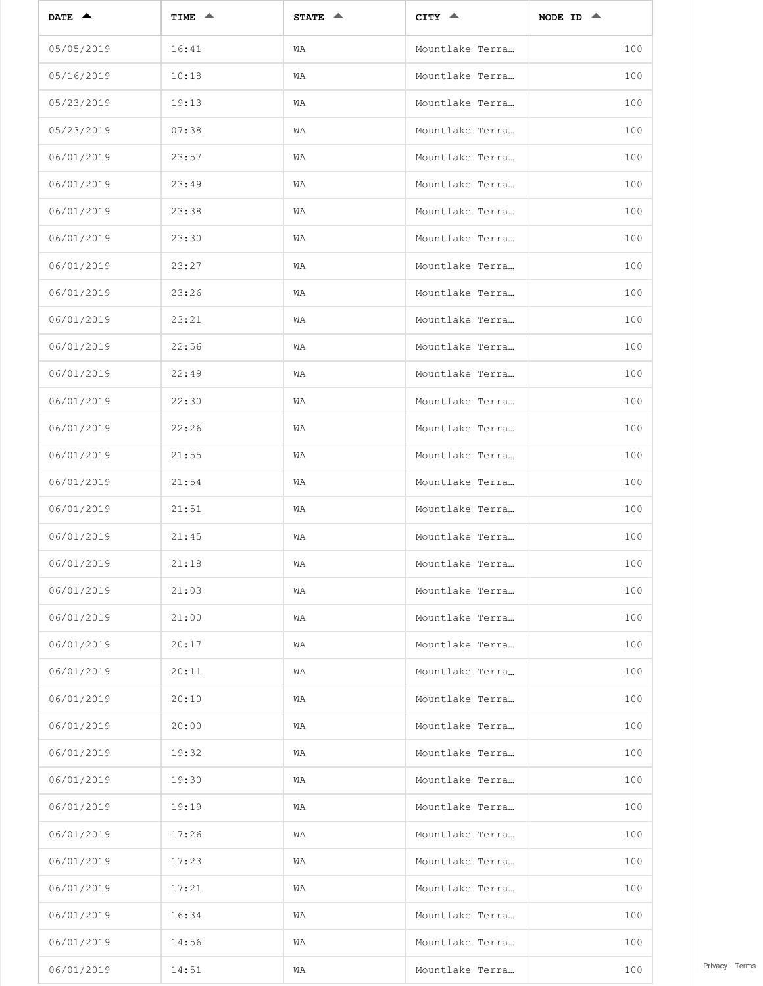| DATE $\triangle$ | TIME $\triangle$ | STATE $\triangle$ | $CITY \triangleq$ | NODE ID $\triangle$ |
|------------------|------------------|-------------------|-------------------|---------------------|
| 05/05/2019       | 16:41            | WA                | Mountlake Terra   | 100                 |
| 05/16/2019       | 10:18            | WA                | Mountlake Terra   | 100                 |
| 05/23/2019       | 19:13            | WA                | Mountlake Terra   | 100                 |
| 05/23/2019       | 07:38            | WA                | Mountlake Terra   | 100                 |
| 06/01/2019       | 23:57            | WA                | Mountlake Terra   | 100                 |
| 06/01/2019       | 23:49            | WA                | Mountlake Terra   | 100                 |
| 06/01/2019       | 23:38            | WA                | Mountlake Terra   | 100                 |
| 06/01/2019       | 23:30            | WA                | Mountlake Terra   | 100                 |
| 06/01/2019       | 23:27            | WA                | Mountlake Terra   | 100                 |
| 06/01/2019       | 23:26            | WA                | Mountlake Terra   | 100                 |
| 06/01/2019       | 23:21            | WA                | Mountlake Terra   | 100                 |
| 06/01/2019       | 22:56            | WA                | Mountlake Terra   | 100                 |
| 06/01/2019       | 22:49            | WA                | Mountlake Terra   | 100                 |
| 06/01/2019       | 22:30            | WA                | Mountlake Terra   | 100                 |
| 06/01/2019       | 22:26            | WA                | Mountlake Terra   | 100                 |
| 06/01/2019       | 21:55            | WA                | Mountlake Terra   | 100                 |
| 06/01/2019       | 21:54            | WA                | Mountlake Terra   | 100                 |
| 06/01/2019       | 21:51            | WA                | Mountlake Terra   | 100                 |
| 06/01/2019       | 21:45            | WA                | Mountlake Terra   | 100                 |
| 06/01/2019       | 21:18            | WA                | Mountlake Terra   | 100                 |
| 06/01/2019       | 21:03            | WA                | Mountlake Terra   | 100                 |
| 06/01/2019       | 21:00            | WA                | Mountlake Terra   | 100                 |
| 06/01/2019       | 20:17            | WA                | Mountlake Terra   | 100                 |
| 06/01/2019       | 20:11            | WA                | Mountlake Terra   | 100                 |
| 06/01/2019       | 20:10            | WA                | Mountlake Terra   | 100                 |
| 06/01/2019       | 20:00            | WA                | Mountlake Terra   | 100                 |
| 06/01/2019       | 19:32            | WA                | Mountlake Terra   | 100                 |
| 06/01/2019       | 19:30            | WA                | Mountlake Terra   | 100                 |
| 06/01/2019       | 19:19            | WA                | Mountlake Terra   | 100                 |
| 06/01/2019       | 17:26            | WA                | Mountlake Terra   | 100                 |
| 06/01/2019       | 17:23            | WA                | Mountlake Terra   | 100                 |
| 06/01/2019       | 17:21            | WA                | Mountlake Terra   | 100                 |
| 06/01/2019       | 16:34            | WA                | Mountlake Terra   | 100                 |
| 06/01/2019       | 14:56            | WA                | Mountlake Terra   | 100                 |
| 06/01/2019       | 14:51            | WA                | Mountlake Terra   | 100                 |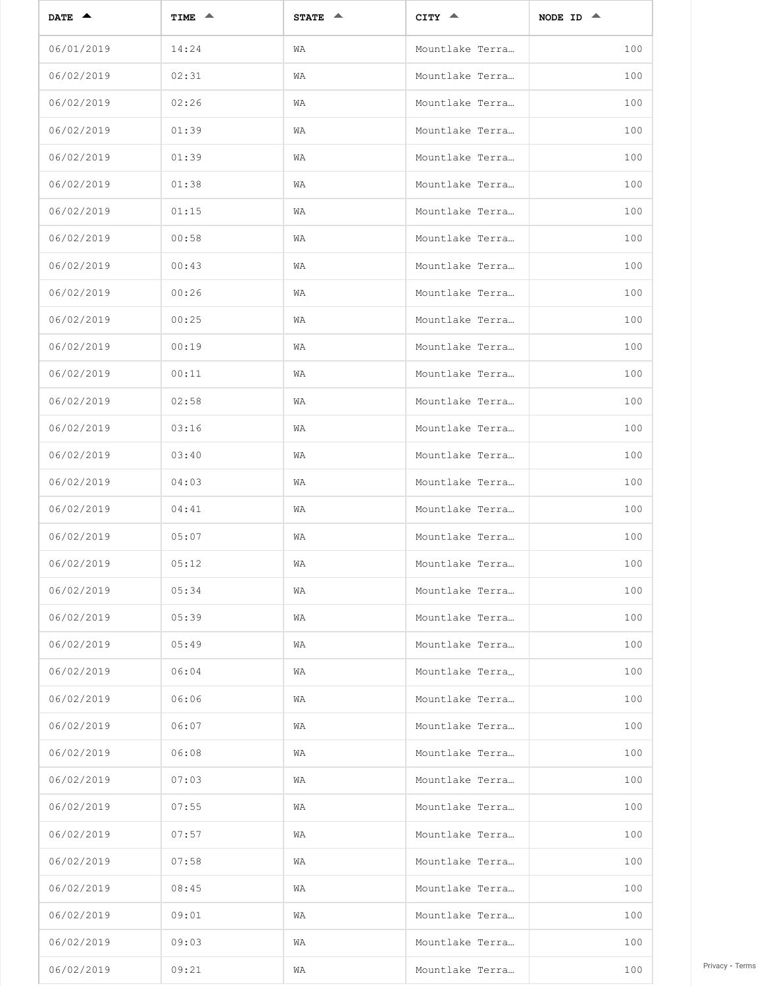| DATE $\triangle$ | TIME $\triangle$ | STATE $\triangle$ | $CITY \triangleq$ | NODE ID $\triangle$ |
|------------------|------------------|-------------------|-------------------|---------------------|
| 06/01/2019       | 14:24            | WA                | Mountlake Terra   | 100                 |
| 06/02/2019       | 02:31            | WA                | Mountlake Terra   | 100                 |
| 06/02/2019       | 02:26            | WA                | Mountlake Terra   | 100                 |
| 06/02/2019       | 01:39            | WA                | Mountlake Terra   | 100                 |
| 06/02/2019       | 01:39            | WA                | Mountlake Terra   | 100                 |
| 06/02/2019       | 01:38            | WA                | Mountlake Terra   | 100                 |
| 06/02/2019       | 01:15            | WA                | Mountlake Terra   | 100                 |
| 06/02/2019       | 00:58            | WA                | Mountlake Terra   | 100                 |
| 06/02/2019       | 00:43            | WA                | Mountlake Terra   | 100                 |
| 06/02/2019       | 00:26            | WA                | Mountlake Terra   | 100                 |
| 06/02/2019       | 00:25            | WA                | Mountlake Terra   | 100                 |
| 06/02/2019       | 00:19            | WA                | Mountlake Terra   | 100                 |
| 06/02/2019       | 00:11            | WA                | Mountlake Terra   | 100                 |
| 06/02/2019       | 02:58            | WA                | Mountlake Terra   | 100                 |
| 06/02/2019       | 03:16            | WA                | Mountlake Terra   | 100                 |
| 06/02/2019       | 03:40            | WA                | Mountlake Terra   | 100                 |
| 06/02/2019       | 04:03            | WA                | Mountlake Terra   | 100                 |
| 06/02/2019       | 04:41            | WA                | Mountlake Terra   | 100                 |
| 06/02/2019       | 05:07            | WA                | Mountlake Terra   | 100                 |
| 06/02/2019       | 05:12            | WA                | Mountlake Terra   | 100                 |
| 06/02/2019       | 05:34            | WA                | Mountlake Terra   | 100                 |
| 06/02/2019       | 05:39            | WA                | Mountlake Terra   | 100                 |
| 06/02/2019       | 05:49            | WA                | Mountlake Terra   | 100                 |
| 06/02/2019       | 06:04            | WA                | Mountlake Terra   | 100                 |
| 06/02/2019       | 06:06            | WA                | Mountlake Terra   | 100                 |
| 06/02/2019       | 06:07            | WA                | Mountlake Terra   | 100                 |
| 06/02/2019       | 06:08            | WA                | Mountlake Terra   | 100                 |
| 06/02/2019       | 07:03            | WA                | Mountlake Terra   | 100                 |
| 06/02/2019       | 07:55            | WA                | Mountlake Terra   | 100                 |
| 06/02/2019       | 07:57            | WA                | Mountlake Terra   | 100                 |
| 06/02/2019       | 07:58            | WA                | Mountlake Terra   | 100                 |
| 06/02/2019       | 08:45            | WA                | Mountlake Terra   | 100                 |
| 06/02/2019       | 09:01            | WA                | Mountlake Terra   | 100                 |
| 06/02/2019       | 09:03            | WA                | Mountlake Terra   | 100                 |
| 06/02/2019       | 09:21            | WA                | Mountlake Terra   | 100                 |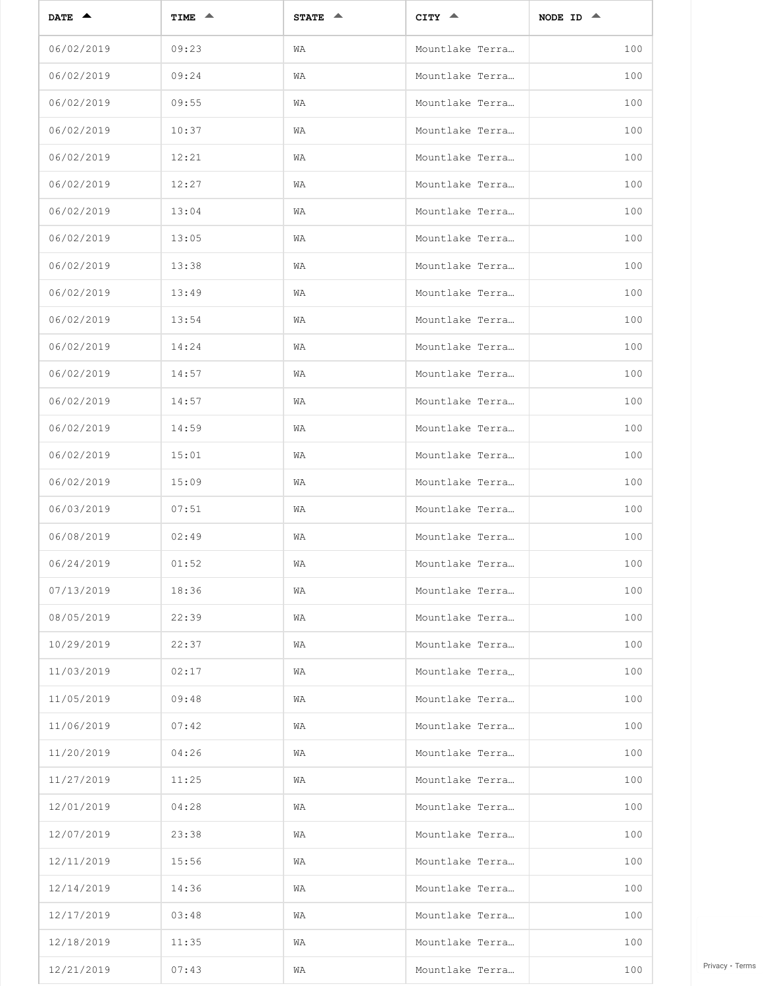| DATE $\triangle$ | TIME $\triangle$ | STATE $\triangle$ | $CITY \triangleq$ | NODE ID $\triangle$ |
|------------------|------------------|-------------------|-------------------|---------------------|
| 06/02/2019       | 09:23            | WA                | Mountlake Terra   | 100                 |
| 06/02/2019       | 09:24            | WA                | Mountlake Terra   | 100                 |
| 06/02/2019       | 09:55            | WA                | Mountlake Terra   | 100                 |
| 06/02/2019       | 10:37            | WA                | Mountlake Terra   | 100                 |
| 06/02/2019       | 12:21            | WA                | Mountlake Terra   | 100                 |
| 06/02/2019       | 12:27            | WA                | Mountlake Terra   | 100                 |
| 06/02/2019       | 13:04            | WA                | Mountlake Terra   | 100                 |
| 06/02/2019       | 13:05            | WA                | Mountlake Terra   | 100                 |
| 06/02/2019       | 13:38            | WA                | Mountlake Terra   | 100                 |
| 06/02/2019       | 13:49            | WA                | Mountlake Terra   | 100                 |
| 06/02/2019       | 13:54            | WA                | Mountlake Terra   | 100                 |
| 06/02/2019       | 14:24            | WA                | Mountlake Terra   | 100                 |
| 06/02/2019       | 14:57            | WA                | Mountlake Terra   | 100                 |
| 06/02/2019       | 14:57            | WA                | Mountlake Terra   | 100                 |
| 06/02/2019       | 14:59            | WA                | Mountlake Terra   | 100                 |
| 06/02/2019       | 15:01            | WA                | Mountlake Terra   | 100                 |
| 06/02/2019       | 15:09            | WA                | Mountlake Terra   | 100                 |
| 06/03/2019       | 07:51            | WA                | Mountlake Terra   | 100                 |
| 06/08/2019       | 02:49            | WA                | Mountlake Terra   | 100                 |
| 06/24/2019       | 01:52            | WA                | Mountlake Terra   | 100                 |
| 07/13/2019       | 18:36            | WA                | Mountlake Terra   | 100                 |
| 08/05/2019       | 22:39            | WA                | Mountlake Terra   | 100                 |
| 10/29/2019       | 22:37            | WA                | Mountlake Terra   | 100                 |
| 11/03/2019       | 02:17            | WA                | Mountlake Terra   | 100                 |
| 11/05/2019       | 09:48            | WA                | Mountlake Terra   | 100                 |
| 11/06/2019       | 07:42            | WA                | Mountlake Terra   | 100                 |
| 11/20/2019       | 04:26            | WA                | Mountlake Terra   | 100                 |
| 11/27/2019       | 11:25            | WA                | Mountlake Terra   | 100                 |
| 12/01/2019       | 04:28            | WA                | Mountlake Terra   | 100                 |
| 12/07/2019       | 23:38            | WA                | Mountlake Terra   | 100                 |
| 12/11/2019       | 15:56            | WA                | Mountlake Terra   | 100                 |
| 12/14/2019       | 14:36            | WA                | Mountlake Terra   | 100                 |
| 12/17/2019       | 03:48            | WA                | Mountlake Terra   | 100                 |
| 12/18/2019       | 11:35            | WA                | Mountlake Terra   | 100                 |
| 12/21/2019       | 07:43            | WA                | Mountlake Terra   | 100                 |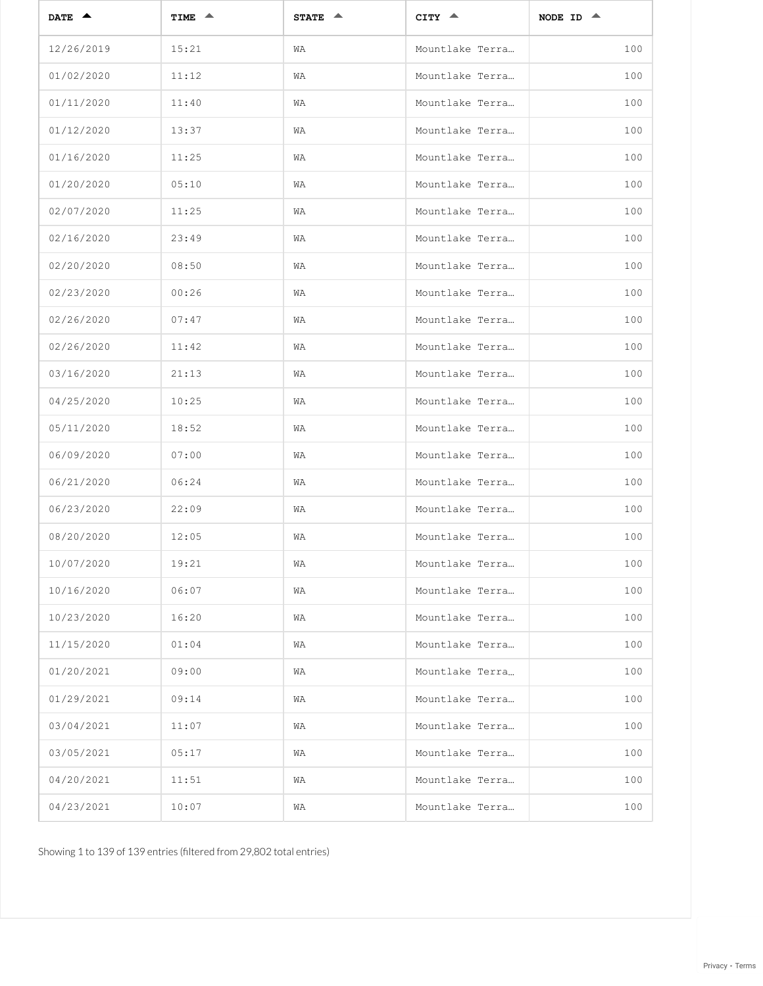| DATE $\triangle$ | TIME $\triangle$ | STATE $\triangle$ | $CITY$ $\triangle$ | NODE ID $\triangle$ |
|------------------|------------------|-------------------|--------------------|---------------------|
| 12/26/2019       | 15:21            | WA                | Mountlake Terra    | 100                 |
| 01/02/2020       | 11:12            | WA                | Mountlake Terra    | 100                 |
| 01/11/2020       | 11:40            | WA                | Mountlake Terra    | 100                 |
| 01/12/2020       | 13:37            | WA                | Mountlake Terra    | 100                 |
| 01/16/2020       | 11:25            | WA                | Mountlake Terra    | 100                 |
| 01/20/2020       | 05:10            | WA                | Mountlake Terra    | 100                 |
| 02/07/2020       | 11:25            | WA                | Mountlake Terra    | 100                 |
| 02/16/2020       | 23:49            | WA                | Mountlake Terra    | 100                 |
| 02/20/2020       | 08:50            | WA                | Mountlake Terra    | 100                 |
| 02/23/2020       | 00:26            | WA                | Mountlake Terra    | 100                 |
| 02/26/2020       | 07:47            | WA                | Mountlake Terra    | 100                 |
| 02/26/2020       | 11:42            | WA                | Mountlake Terra    | 100                 |
| 03/16/2020       | 21:13            | WA                | Mountlake Terra    | 100                 |
| 04/25/2020       | 10:25            | WA                | Mountlake Terra    | 100                 |
| 05/11/2020       | 18:52            | WA                | Mountlake Terra    | 100                 |
| 06/09/2020       | 07:00            | WA                | Mountlake Terra    | 100                 |
| 06/21/2020       | 06:24            | WA                | Mountlake Terra    | 100                 |
| 06/23/2020       | 22:09            | WA                | Mountlake Terra    | 100                 |
| 08/20/2020       | 12:05            | WA                | Mountlake Terra    | 100                 |
| 10/07/2020       | 19:21            | WA                | Mountlake Terra    | 100                 |
| 10/16/2020       | 06:07            | WA                | Mountlake Terra    | 100                 |
| 10/23/2020       | 16:20            | WA                | Mountlake Terra    | 100                 |
| 11/15/2020       | 01:04            | WA                | Mountlake Terra    | 100                 |
| 01/20/2021       | 09:00            | WA                | Mountlake Terra    | 100                 |
| 01/29/2021       | 09:14            | WA                | Mountlake Terra    | 100                 |
| 03/04/2021       | 11:07            | WA                | Mountlake Terra    | 100                 |
| 03/05/2021       | 05:17            | WA                | Mountlake Terra    | 100                 |
| 04/20/2021       | 11:51            | WA                | Mountlake Terra    | 100                 |
| 04/23/2021       | 10:07            | WA                | Mountlake Terra    | 100                 |

Showing 1 to 139 of 139 entries (filtered from 29,802 total entries)